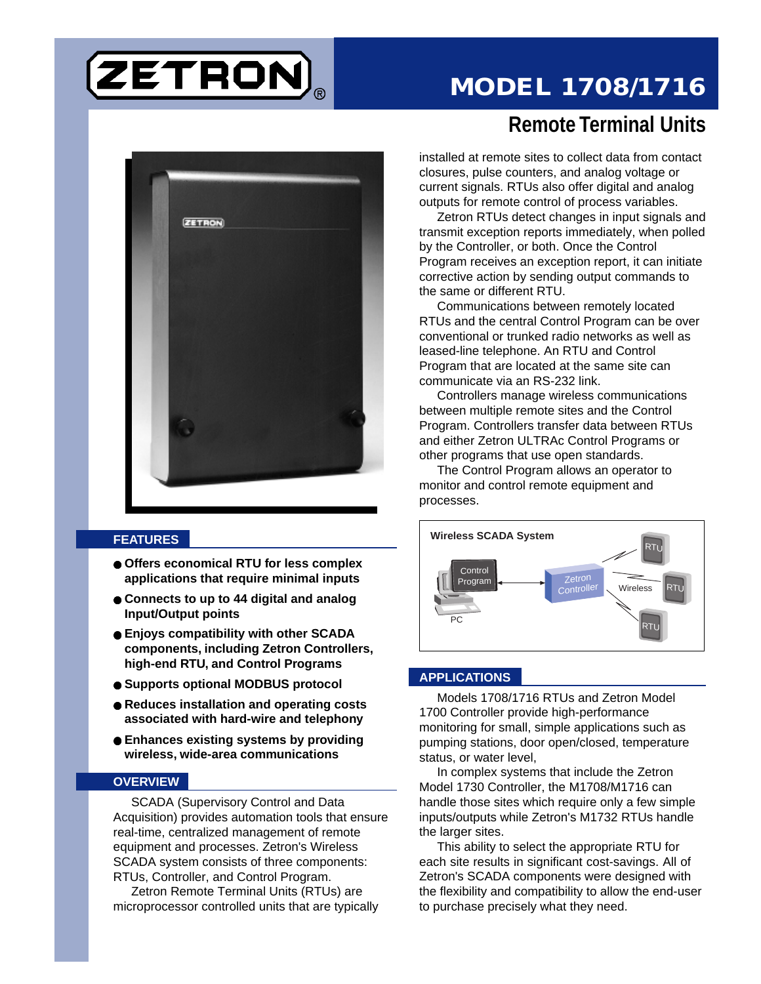# ETRON

## **MODEL 1708/1716**



#### **FEATURES**

- **Offers economical RTU for less complex applications that require minimal inputs**
- **Connects to up to 44 digital and analog Input/Output points**
- **Enjoys compatibility with other SCADA components, including Zetron Controllers, high-end RTU, and Control Programs**
- **Supports optional MODBUS protocol**
- **Reduces installation and operating costs associated with hard-wire and telephony**
- **Enhances existing systems by providing wireless, wide-area communications**

#### **OVERVIEW**

SCADA (Supervisory Control and Data Acquisition) provides automation tools that ensure real-time, centralized management of remote equipment and processes. Zetron's Wireless SCADA system consists of three components: RTUs, Controller, and Control Program.

Zetron Remote Terminal Units (RTUs) are microprocessor controlled units that are typically

### **Remote Terminal Units**

installed at remote sites to collect data from contact closures, pulse counters, and analog voltage or current signals. RTUs also offer digital and analog outputs for remote control of process variables.

Zetron RTUs detect changes in input signals and transmit exception reports immediately, when polled by the Controller, or both. Once the Control Program receives an exception report, it can initiate corrective action by sending output commands to the same or different RTU.

Communications between remotely located RTUs and the central Control Program can be over conventional or trunked radio networks as well as leased-line telephone. An RTU and Control Program that are located at the same site can communicate via an RS-232 link.

Controllers manage wireless communications between multiple remote sites and the Control Program. Controllers transfer data between RTUs and either Zetron ULTRAc Control Programs or other programs that use open standards.

The Control Program allows an operator to monitor and control remote equipment and processes.



#### **APPLICATIONS**

Models 1708/1716 RTUs and Zetron Model 1700 Controller provide high-performance monitoring for small, simple applications such as pumping stations, door open/closed, temperature status, or water level,

In complex systems that include the Zetron Model 1730 Controller, the M1708/M1716 can handle those sites which require only a few simple inputs/outputs while Zetron's M1732 RTUs handle the larger sites.

This ability to select the appropriate RTU for each site results in significant cost-savings. All of Zetron's SCADA components were designed with the flexibility and compatibility to allow the end-user to purchase precisely what they need.